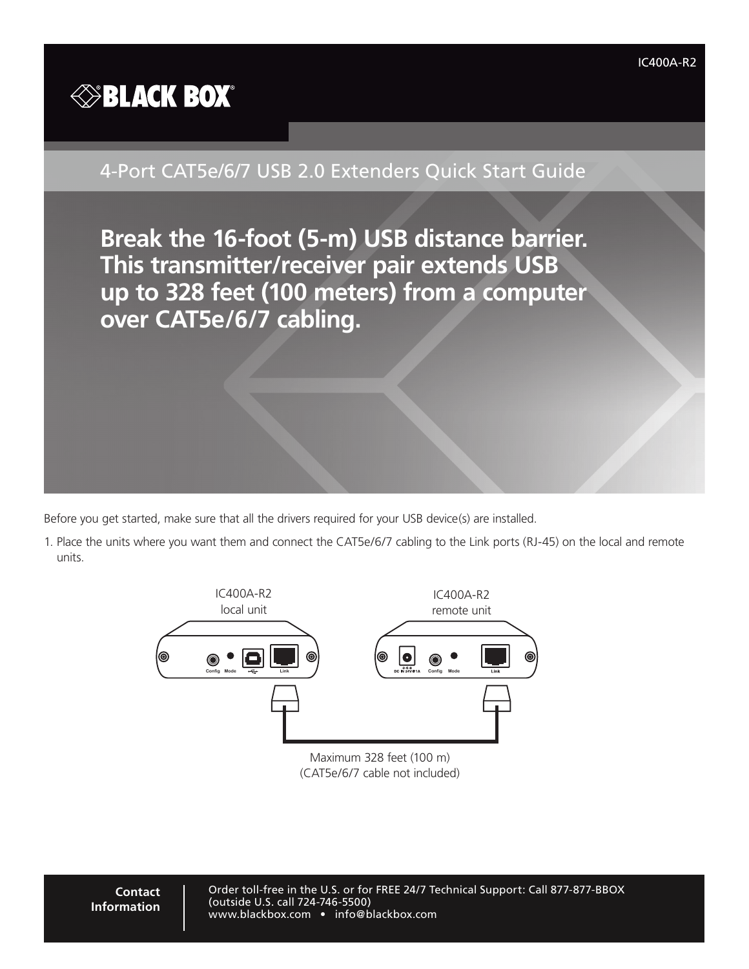

## 4-Port CAT5e/6/7 USB 2.0 Extenders Quick Start Guide

**Break the 16-foot (5-m) USB distance barrier. This transmitter/receiver pair extends USB up to 328 feet (100 meters) from a computer over CAT5e/6/7 cabling.**

Before you get started, make sure that all the drivers required for your USB device(s) are installed.

1. Place the units where you want them and connect the CAT5e/6/7 cabling to the Link ports (RJ-45) on the local and remote units.



Maximum 328 feet (100 m) (CAT5e/6/7 cable not included)